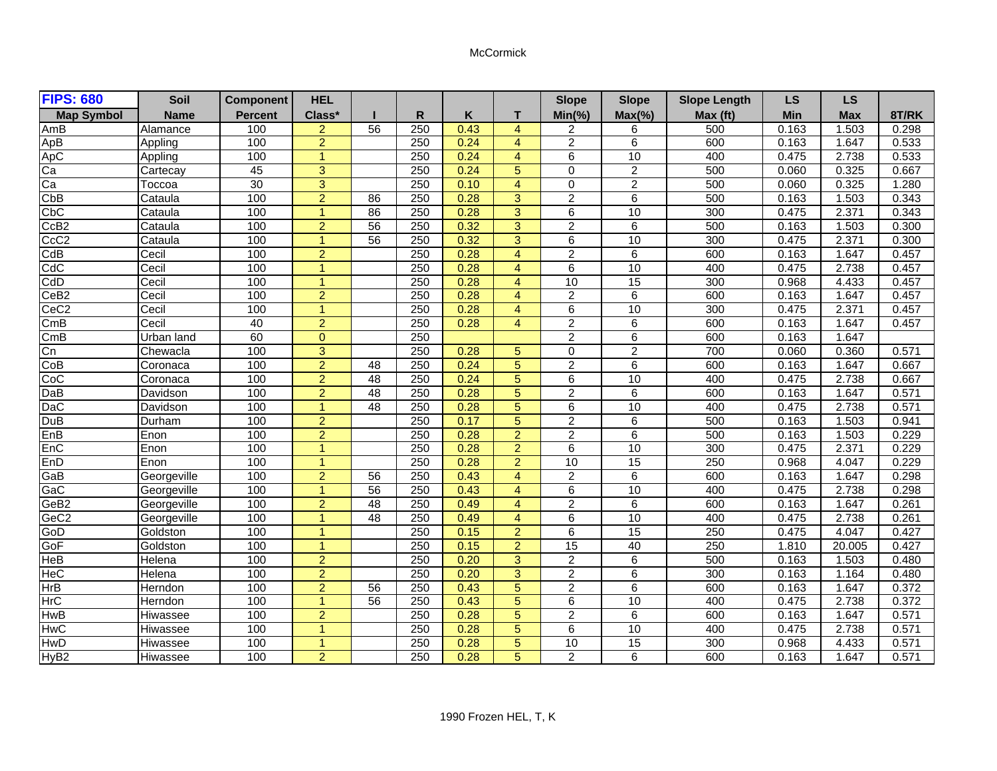## McCormick

| <b>FIPS: 680</b>  | <b>Soil</b> | <b>Component</b> | <b>HEL</b>           |                 |                  |      |                | <b>Slope</b>   | <b>Slope</b>   | <b>Slope Length</b> | LS.        | LS         |       |
|-------------------|-------------|------------------|----------------------|-----------------|------------------|------|----------------|----------------|----------------|---------------------|------------|------------|-------|
| <b>Map Symbol</b> | <b>Name</b> | <b>Percent</b>   | Class*               |                 | R                | Κ    | т              | $Min(\% )$     | $Max(\% )$     | Max (ft)            | <b>Min</b> | <b>Max</b> | 8T/RK |
| AmB               | Alamance    | 100              | $\overline{2}$       | 56              | 250              | 0.43 | $\overline{4}$ | 2              | 6              | 500                 | 0.163      | 1.503      | 0.298 |
| ApB               | Appling     | 100              | $\overline{2}$       |                 | 250              | 0.24 | $\overline{4}$ | $\overline{2}$ | $\overline{6}$ | 600                 | 0.163      | 1.647      | 0.533 |
| ApC               | Appling     | 100              | $\blacktriangleleft$ |                 | 250              | 0.24 | $\overline{4}$ | 6              | 10             | 400                 | 0.475      | 2.738      | 0.533 |
| $\overline{Ca}$   | Cartecay    | 45               | $\overline{3}$       |                 | 250              | 0.24 | $\overline{5}$ | $\overline{0}$ | $\overline{2}$ | 500                 | 0.060      | 0.325      | 0.667 |
| Ca                | Toccoa      | 30               | 3                    |                 | 250              | 0.10 | $\overline{4}$ | $\mathbf 0$    | $\overline{2}$ | 500                 | 0.060      | 0.325      | 1.280 |
| CbB               | Cataula     | 100              | $\overline{2}$       | 86              | 250              | 0.28 | 3              | $\overline{2}$ | 6              | 500                 | 0.163      | 1.503      | 0.343 |
| CbC               | Cataula     | 100              | $\overline{1}$       | 86              | 250              | 0.28 | 3              | 6              | 10             | 300                 | 0.475      | 2.371      | 0.343 |
| CcB2              | Cataula     | 100              | $\overline{2}$       | $\overline{56}$ | 250              | 0.32 | $\overline{3}$ | $\overline{c}$ | 6              | 500                 | 0.163      | 1.503      | 0.300 |
| CcC <sub>2</sub>  | Cataula     | 100              | $\blacktriangleleft$ | $\overline{56}$ | 250              | 0.32 | 3              | 6              | 10             | 300                 | 0.475      | 2.371      | 0.300 |
| CdB               | Cecil       | 100              | $\overline{2}$       |                 | 250              | 0.28 | $\overline{4}$ | $\overline{c}$ | 6              | 600                 | 0.163      | 1.647      | 0.457 |
| CdC               | Cecil       | 100              | $\blacktriangleleft$ |                 | 250              | 0.28 | $\overline{4}$ | 6              | 10             | 400                 | 0.475      | 2.738      | 0.457 |
| CdD               | Cecil       | 100              | $\mathbf{1}$         |                 | 250              | 0.28 | $\overline{4}$ | 10             | 15             | 300                 | 0.968      | 4.433      | 0.457 |
| CeB <sub>2</sub>  | Cecil       | 100              | $\overline{2}$       |                 | 250              | 0.28 | $\overline{4}$ | $\overline{2}$ | $\overline{6}$ | 600                 | 0.163      | 1.647      | 0.457 |
| CeC <sub>2</sub>  | Cecil       | 100              | $\blacktriangleleft$ |                 | 250              | 0.28 | $\overline{4}$ | 6              | 10             | 300                 | 0.475      | 2.371      | 0.457 |
| CmB               | Cecil       | 40               | $\overline{2}$       |                 | 250              | 0.28 | $\overline{4}$ | $\overline{c}$ | 6              | 600                 | 0.163      | 1.647      | 0.457 |
| CmB               | Urban land  | 60               | $\Omega$             |                 | 250              |      |                | 2              | 6              | 600                 | 0.163      | 1.647      |       |
| Cn                | Chewacla    | 100              | $\overline{3}$       |                 | 250              | 0.28 | $\overline{5}$ | 0              | $\overline{2}$ | 700                 | 0.060      | 0.360      | 0.571 |
| CoB               | Coronaca    | 100              | $\overline{2}$       | 48              | 250              | 0.24 | 5              | $\overline{2}$ | 6              | 600                 | 0.163      | 1.647      | 0.667 |
| CoC               | Coronaca    | 100              | $\overline{2}$       | $\overline{48}$ | 250              | 0.24 | 5              | 6              | 10             | 400                 | 0.475      | 2.738      | 0.667 |
| DaB               | Davidson    | 100              | $\overline{2}$       | 48              | 250              | 0.28 | 5              | $\overline{2}$ | 6              | 600                 | 0.163      | 1.647      | 0.571 |
| <b>DaC</b>        | Davidson    | 100              | $\blacktriangleleft$ | 48              | 250              | 0.28 | $\overline{5}$ | 6              | 10             | 400                 | 0.475      | 2.738      | 0.571 |
| <b>DuB</b>        | Durham      | 100              | $\overline{2}$       |                 | 250              | 0.17 | $\overline{5}$ | $\overline{2}$ | 6              | 500                 | 0.163      | 1.503      | 0.941 |
| EnB               | Enon        | 100              | $\overline{2}$       |                 | 250              | 0.28 | $\overline{2}$ | $\overline{2}$ | 6              | 500                 | 0.163      | 1.503      | 0.229 |
| EnC               | Enon        | 100              | $\blacktriangleleft$ |                 | $\overline{250}$ | 0.28 | $\overline{2}$ | 6              | 10             | 300                 | 0.475      | 2.371      | 0.229 |
| EnD               | Enon        | 100              | $\mathbf{1}$         |                 | 250              | 0.28 | $\overline{2}$ | 10             | 15             | 250                 | 0.968      | 4.047      | 0.229 |
| GaB               | Georgeville | 100              | $\overline{2}$       | 56              | 250              | 0.43 | $\overline{4}$ | $\overline{2}$ | 6              | 600                 | 0.163      | 1.647      | 0.298 |
| GaC               | Georgeville | 100              | $\blacktriangleleft$ | 56              | 250              | 0.43 | $\overline{4}$ | 6              | 10             | 400                 | 0.475      | 2.738      | 0.298 |
| GeB <sub>2</sub>  | Georgeville | 100              | $\overline{2}$       | 48              | 250              | 0.49 | $\overline{4}$ | $\overline{2}$ | 6              | 600                 | 0.163      | 1.647      | 0.261 |
| GeC <sub>2</sub>  | Georgeville | 100              | $\blacktriangleleft$ | 48              | 250              | 0.49 | $\overline{4}$ | 6              | 10             | 400                 | 0.475      | 2.738      | 0.261 |
| GoD               | Goldston    | 100              | $\mathbf{1}$         |                 | 250              | 0.15 | $\overline{2}$ | 6              | 15             | 250                 | 0.475      | 4.047      | 0.427 |
| GoF               | Goldston    | 100              | $\mathbf{1}$         |                 | 250              | 0.15 | $\overline{2}$ | 15             | 40             | 250                 | 1.810      | 20.005     | 0.427 |
| <b>HeB</b>        | Helena      | 100              | $\overline{2}$       |                 | 250              | 0.20 | $\overline{3}$ | $\overline{2}$ | $\overline{6}$ | 500                 | 0.163      | 1.503      | 0.480 |
| <b>HeC</b>        | Helena      | 100              | $\overline{2}$       |                 | 250              | 0.20 | 3              | $\overline{2}$ | 6              | 300                 | 0.163      | 1.164      | 0.480 |
| HrB               | Herndon     | 100              | $\overline{2}$       | 56              | 250              | 0.43 | $\overline{5}$ | $\overline{2}$ | $\overline{6}$ | 600                 | 0.163      | 1.647      | 0.372 |
| <b>HrC</b>        | Herndon     | 100              | $\blacktriangleleft$ | $\overline{56}$ | 250              | 0.43 | $\overline{5}$ | 6              | 10             | 400                 | 0.475      | 2.738      | 0.372 |
| <b>HwB</b>        | Hiwassee    | 100              | $\overline{2}$       |                 | 250              | 0.28 | $\overline{5}$ | $\overline{2}$ | $\overline{6}$ | 600                 | 0.163      | 1.647      | 0.571 |
| <b>HwC</b>        | Hiwassee    | 100              | $\blacktriangleleft$ |                 | 250              | 0.28 | 5              | 6              | 10             | 400                 | 0.475      | 2.738      | 0.571 |
| <b>HwD</b>        | Hiwassee    | 100              | $\overline{1}$       |                 | 250              | 0.28 | $\overline{5}$ | 10             | 15             | 300                 | 0.968      | 4.433      | 0.571 |
| HyB <sub>2</sub>  | Hiwassee    | 100              | $\overline{2}$       |                 | 250              | 0.28 | $\overline{5}$ | $\overline{2}$ | $\overline{6}$ | 600                 | 0.163      | 1.647      | 0.571 |